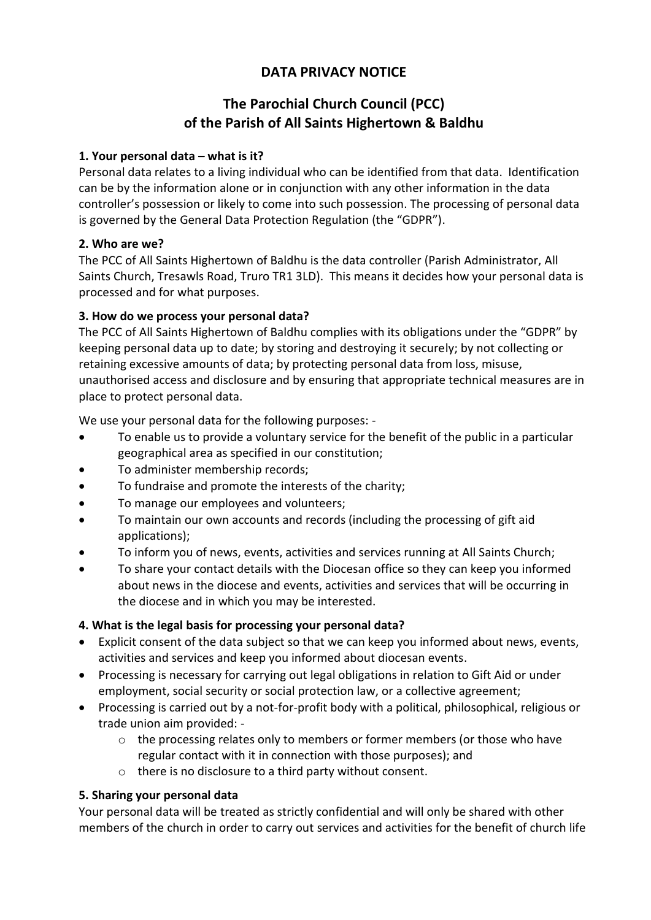# **DATA PRIVACY NOTICE**

# **The Parochial Church Council (PCC) of the Parish of All Saints Highertown & Baldhu**

#### **1. Your personal data – what is it?**

Personal data relates to a living individual who can be identified from that data. Identification can be by the information alone or in conjunction with any other information in the data controller's possession or likely to come into such possession. The processing of personal data is governed by the General Data Protection Regulation (the "GDPR").

## **2. Who are we?**

The PCC of All Saints Highertown of Baldhu is the data controller (Parish Administrator, All Saints Church, Tresawls Road, Truro TR1 3LD). This means it decides how your personal data is processed and for what purposes.

## **3. How do we process your personal data?**

The PCC of All Saints Highertown of Baldhu complies with its obligations under the "GDPR" by keeping personal data up to date; by storing and destroying it securely; by not collecting or retaining excessive amounts of data; by protecting personal data from loss, misuse, unauthorised access and disclosure and by ensuring that appropriate technical measures are in place to protect personal data.

We use your personal data for the following purposes: -

- To enable us to provide a voluntary service for the benefit of the public in a particular geographical area as specified in our constitution;
- To administer membership records;
- To fundraise and promote the interests of the charity;
- To manage our employees and volunteers;
- To maintain our own accounts and records (including the processing of gift aid applications);
- To inform you of news, events, activities and services running at All Saints Church;
- To share your contact details with the Diocesan office so they can keep you informed about news in the diocese and events, activities and services that will be occurring in the diocese and in which you may be interested.

# **4. What is the legal basis for processing your personal data?**

- Explicit consent of the data subject so that we can keep you informed about news, events, activities and services and keep you informed about diocesan events.
- Processing is necessary for carrying out legal obligations in relation to Gift Aid or under employment, social security or social protection law, or a collective agreement;
- Processing is carried out by a not-for-profit body with a political, philosophical, religious or trade union aim provided:
	- o the processing relates only to members or former members (or those who have regular contact with it in connection with those purposes); and
	- o there is no disclosure to a third party without consent.

# **5. Sharing your personal data**

Your personal data will be treated as strictly confidential and will only be shared with other members of the church in order to carry out services and activities for the benefit of church life